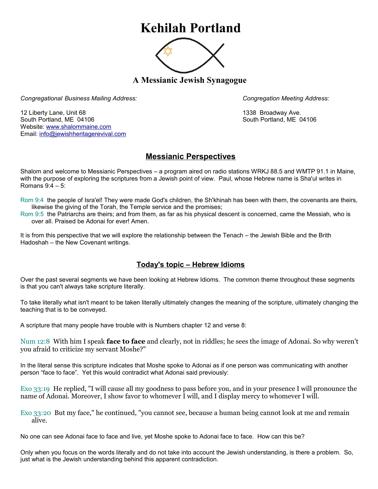## **Kehilah Portland**



**A Messianic Jewish Synagogue** 

*Congregational Business Mailing Address: Congregation Meeting Address:*

12 Liberty Lane, Unit 68 1338 Broadway Ave. South Portland, ME 04106 South Portland, ME 04106 Website: [www.shalommaine.com](http://www.shalommaine.com/) Email: [info@jewishheritagerevival.com](mailto:info@jewishheritagerevival.com) 

## **Messianic Perspectives**

Shalom and welcome to Messianic Perspectives – a program aired on radio stations WRKJ 88.5 and WMTP 91.1 in Maine, with the purpose of exploring the scriptures from a Jewish point of view. Paul, whose Hebrew name is Sha'ul writes in Romans 9:4 – 5:

Rom 9:4 the people of Isra'el! They were made God's children, the Sh'khinah has been with them, the covenants are theirs, likewise the giving of the Torah, the Temple service and the promises;

Rom 9:5 the Patriarchs are theirs; and from them, as far as his physical descent is concerned, came the Messiah, who is over all. Praised be Adonai for ever! Amen.

It is from this perspective that we will explore the relationship between the Tenach – the Jewish Bible and the Brith Hadoshah – the New Covenant writings.

## **Today's topic – Hebrew Idioms**

Over the past several segments we have been looking at Hebrew Idioms. The common theme throughout these segments is that you can't always take scripture literally.

To take literally what isn't meant to be taken literally ultimately changes the meaning of the scripture, ultimately changing the teaching that is to be conveyed.

A scripture that many people have trouble with is Numbers chapter 12 and verse 8:

Num 12:8 With him I speak **face to face** and clearly, not in riddles; he sees the image of Adonai. So why weren't you afraid to criticize my servant Moshe?"

In the literal sense this scripture indicates that Moshe spoke to Adonai as if one person was communicating with another person "face to face". Yet this would contradict what Adonai said previously:

Exo 33:19 He replied, "I will cause all my goodness to pass before you, and in your presence I will pronounce the name of Adonai. Moreover, I show favor to whomever I will, and I display mercy to whomever I will.

Exo 33:20 But my face," he continued, "you cannot see, because a human being cannot look at me and remain alive.

No one can see Adonai face to face and live, yet Moshe spoke to Adonai face to face. How can this be?

Only when you focus on the words literally and do not take into account the Jewish understanding, is there a problem. So, just what is the Jewish understanding behind this apparent contradiction.